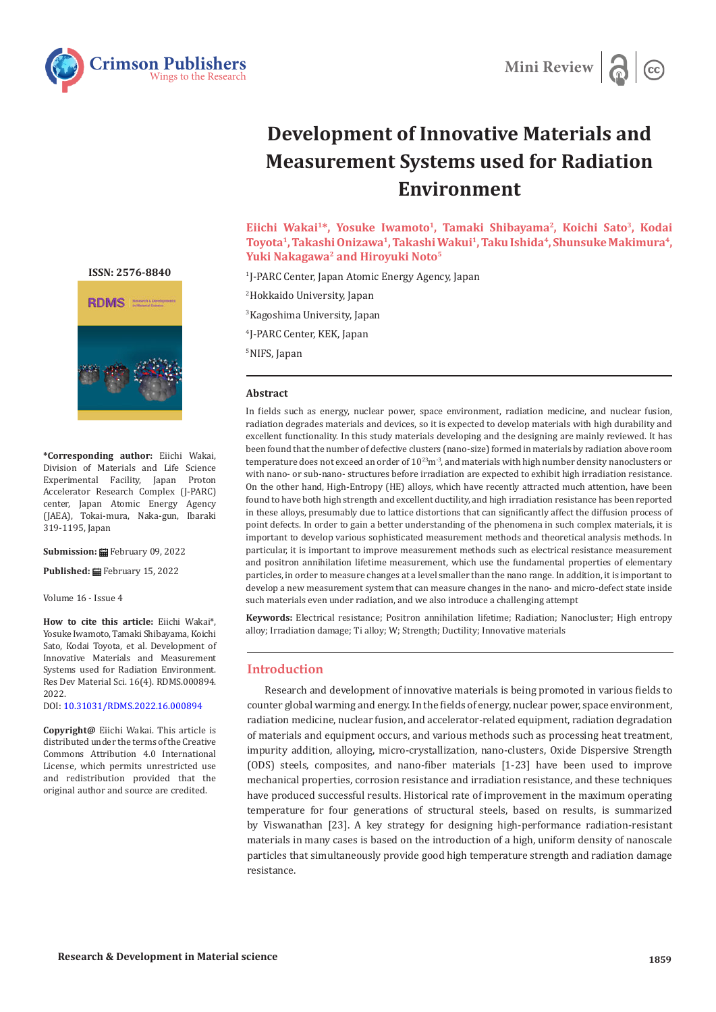



# **Development of Innovative Materials and Measurement Systems used for Radiation Environment**

Eiichi Wakai<sup>1\*</sup>, Yosuke Iwamoto<sup>1</sup>, Tamaki Shibayama<sup>2</sup>, Koichi Sato<sup>3</sup>, Kodai **Toyota1, Takashi Onizawa1, Takashi Wakui1, Taku Ishida4, Shunsuke Makimura4,**  Yuki Nakagawa<sup>2</sup> and Hiroyuki Noto<sup>5</sup>

 J-PARC Center, Japan Atomic Energy Agency, Japan Hokkaido University, Japan Kagoshima University, Japan J-PARC Center, KEK, Japan NIFS, Japan

#### **Abstract**

In fields such as energy, nuclear power, space environment, radiation medicine, and nuclear fusion, radiation degrades materials and devices, so it is expected to develop materials with high durability and excellent functionality. In this study materials developing and the designing are mainly reviewed. It has been found that the number of defective clusters (nano-size) formed in materials by radiation above room temperature does not exceed an order of  $10^{23}$ m<sup>-3</sup>, and materials with high number density nanoclusters or with nano- or sub-nano- structures before irradiation are expected to exhibit high irradiation resistance. On the other hand, High-Entropy (HE) alloys, which have recently attracted much attention, have been found to have both high strength and excellent ductility, and high irradiation resistance has been reported in these alloys, presumably due to lattice distortions that can significantly affect the diffusion process of point defects. In order to gain a better understanding of the phenomena in such complex materials, it is important to develop various sophisticated measurement methods and theoretical analysis methods. In particular, it is important to improve measurement methods such as electrical resistance measurement and positron annihilation lifetime measurement, which use the fundamental properties of elementary particles, in order to measure changes at a level smaller than the nano range. In addition, it is important to develop a new measurement system that can measure changes in the nano- and micro-defect state inside such materials even under radiation, and we also introduce a challenging attempt

**Keywords:** Electrical resistance; Positron annihilation lifetime; Radiation; Nanocluster; High entropy alloy; Irradiation damage; Ti alloy; W; Strength; Ductility; Innovative materials

## **Introduction**

Research and development of innovative materials is being promoted in various fields to counter global warming and energy. In the fields of energy, nuclear power, space environment, radiation medicine, nuclear fusion, and accelerator-related equipment, radiation degradation of materials and equipment occurs, and various methods such as processing heat treatment, impurity addition, alloying, micro-crystallization, nano-clusters, Oxide Dispersive Strength (ODS) steels, composites, and nano-fiber materials [1-23] have been used to improve mechanical properties, corrosion resistance and irradiation resistance, and these techniques have produced successful results. Historical rate of improvement in the maximum operating temperature for four generations of structural steels, based on results, is summarized by Viswanathan [23]. A key strategy for designing high-performance radiation-resistant materials in many cases is based on the introduction of a high, uniform density of nanoscale particles that simultaneously provide good high temperature strength and radiation damage resistance.

**[ISSN: 2576-8840](https://crimsonpublishers.com/rdms/index.php)**



**\*Corresponding author:** Eiichi Wakai, Division of Materials and Life Science Experimental Facility, Japan Proton Accelerator Research Complex (J-PARC) center, Japan Atomic Energy Agency (JAEA), Tokai-mura, Naka-gun, Ibaraki 319-1195, Japan

**Submission:** February 09, 2022

**Published:** February 15, 2022

Volume 16 - Issue 4

**How to cite this article:** Eiichi Wakai\*, Yosuke Iwamoto, Tamaki Shibayama, Koichi Sato, Kodai Toyota, et al. Development of Innovative Materials and Measurement Systems used for Radiation Environment. Res Dev Material Sci. 16(4). RDMS.000894. 2022.

DOI: [10.31031/RDMS.2022.16.000894](http://dx.doi.org/10.31031/RDMS.2022.16.000894)

**Copyright@** Eiichi Wakai. This article is distributed under the terms of the Creative Commons Attribution 4.0 International License, which permits unrestricted use and redistribution provided that the original author and source are credited.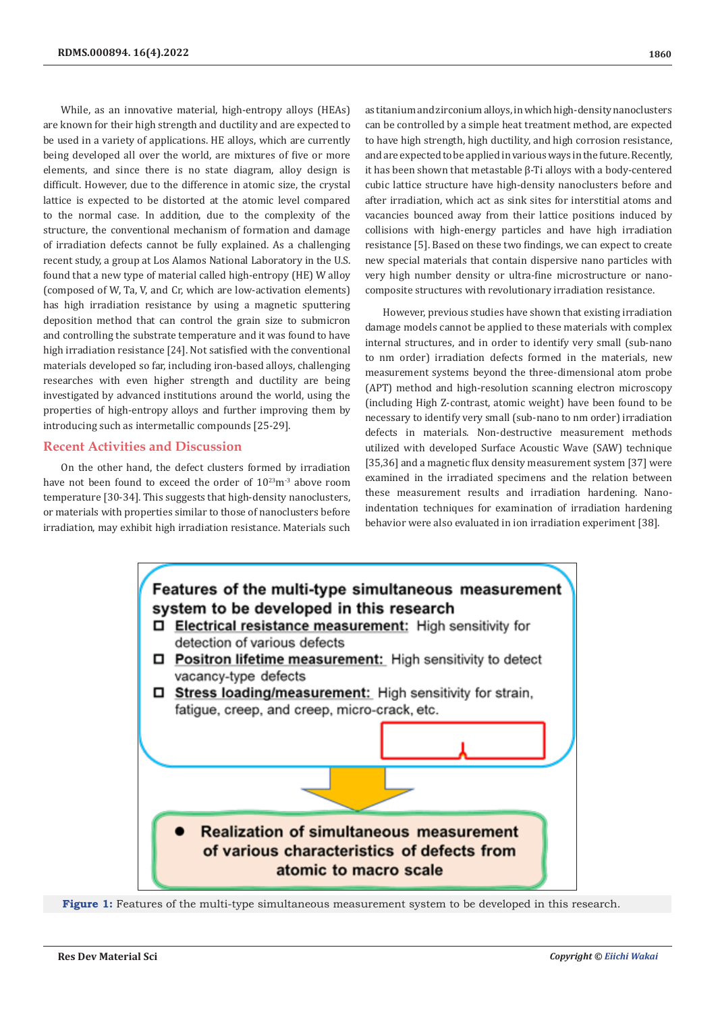While, as an innovative material, high-entropy alloys (HEAs) are known for their high strength and ductility and are expected to be used in a variety of applications. HE alloys, which are currently being developed all over the world, are mixtures of five or more elements, and since there is no state diagram, alloy design is difficult. However, due to the difference in atomic size, the crystal lattice is expected to be distorted at the atomic level compared to the normal case. In addition, due to the complexity of the structure, the conventional mechanism of formation and damage of irradiation defects cannot be fully explained. As a challenging recent study, a group at Los Alamos National Laboratory in the U.S. found that a new type of material called high-entropy (HE) W alloy (composed of W, Ta, V, and Cr, which are low-activation elements) has high irradiation resistance by using a magnetic sputtering deposition method that can control the grain size to submicron and controlling the substrate temperature and it was found to have high irradiation resistance [24]. Not satisfied with the conventional materials developed so far, including iron-based alloys, challenging researches with even higher strength and ductility are being investigated by advanced institutions around the world, using the properties of high-entropy alloys and further improving them by introducing such as intermetallic compounds [25-29].

### **Recent Activities and Discussion**

On the other hand, the defect clusters formed by irradiation have not been found to exceed the order of  $10^{23}$ m<sup>-3</sup> above room temperature [30-34]. This suggests that high-density nanoclusters, or materials with properties similar to those of nanoclusters before irradiation, may exhibit high irradiation resistance. Materials such

as titanium and zirconium alloys, in which high-density nanoclusters can be controlled by a simple heat treatment method, are expected to have high strength, high ductility, and high corrosion resistance, and are expected to be applied in various ways in the future. Recently, it has been shown that metastable β-Ti alloys with a body-centered cubic lattice structure have high-density nanoclusters before and after irradiation, which act as sink sites for interstitial atoms and vacancies bounced away from their lattice positions induced by collisions with high-energy particles and have high irradiation resistance [5]. Based on these two findings, we can expect to create new special materials that contain dispersive nano particles with very high number density or ultra-fine microstructure or nanocomposite structures with revolutionary irradiation resistance.

However, previous studies have shown that existing irradiation damage models cannot be applied to these materials with complex internal structures, and in order to identify very small (sub-nano to nm order) irradiation defects formed in the materials, new measurement systems beyond the three-dimensional atom probe (APT) method and high-resolution scanning electron microscopy (including High Z-contrast, atomic weight) have been found to be necessary to identify very small (sub-nano to nm order) irradiation defects in materials. Non-destructive measurement methods utilized with developed Surface Acoustic Wave (SAW) technique [35,36] and a magnetic flux density measurement system [37] were examined in the irradiated specimens and the relation between these measurement results and irradiation hardening. Nanoindentation techniques for examination of irradiation hardening behavior were also evaluated in ion irradiation experiment [38].



**Figure 1:** Features of the multi-type simultaneous measurement system to be developed in this research.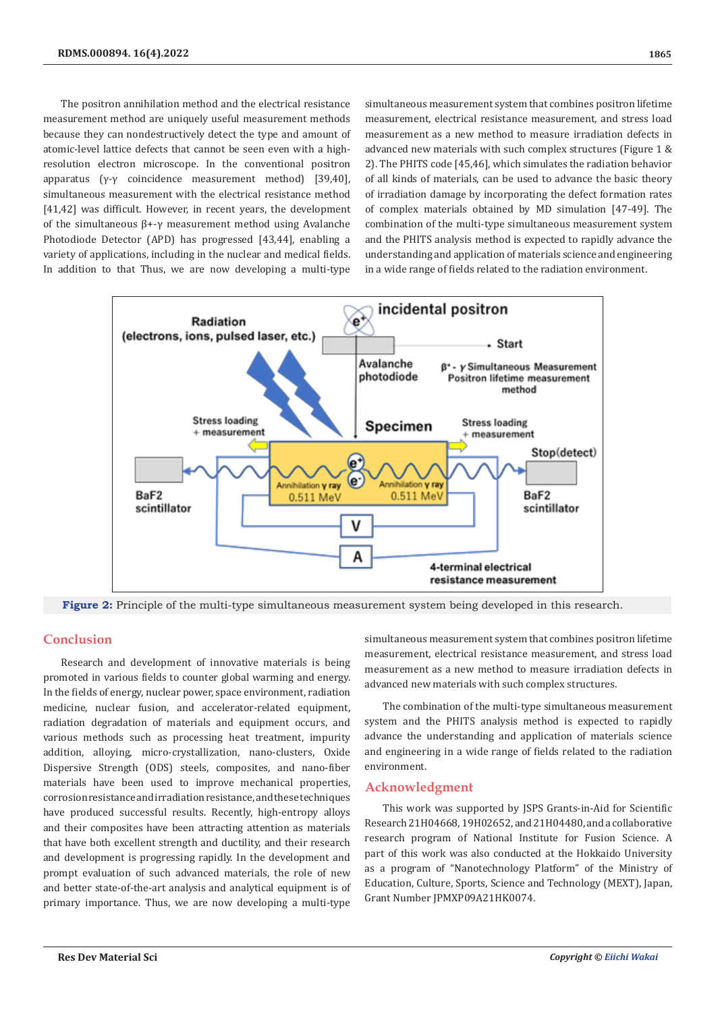The positron annihilation method and the electrical resistance measurement method are uniquely useful measurement methods because they can nondestructively detect the type and amount of atomic-level lattice defects that cannot be seen even with a highresolution electron microscope. In the conventional positron apparatus (γ-γ coincidence measurement method) [39,40], simultaneous measurement with the electrical resistance method [41,42] was difficult. However, in recent years, the development of the simultaneous β+-γ measurement method using Avalanche Photodiode Detector (APD) has progressed [43,44], enabling a variety of applications, including in the nuclear and medical fields. In addition to that Thus, we are now developing a multi-type

simultaneous measurement system that combines positron lifetime measurement, electrical resistance measurement, and stress load measurement as a new method to measure irradiation defects in advanced new materials with such complex structures (Figure 1 & 2). The PHITS code [45,46], which simulates the radiation behavior of all kinds of materials, can be used to advance the basic theory of irradiation damage by incorporating the defect formation rates of complex materials obtained by MD simulation [47-49]. The combination of the multi-type simultaneous measurement system and the PHITS analysis method is expected to rapidly advance the understanding and application of materials science and engineering in a wide range of fields related to the radiation environment.



**Figure 2:** Principle of the multi-type simultaneous measurement system being developed in this research.

## **Conclusion**

Research and development of innovative materials is being promoted in various fields to counter global warming and energy. In the fields of energy, nuclear power, space environment, radiation medicine, nuclear fusion, and accelerator-related equipment, radiation degradation of materials and equipment occurs, and various methods such as processing heat treatment, impurity addition, alloying, micro-crystallization, nano-clusters, Oxide Dispersive Strength (ODS) steels, composites, and nano-fiber materials have been used to improve mechanical properties, corrosion resistance and irradiation resistance, and these techniques have produced successful results. Recently, high-entropy alloys and their composites have been attracting attention as materials that have both excellent strength and ductility, and their research and development is progressing rapidly. In the development and prompt evaluation of such advanced materials, the role of new and better state-of-the-art analysis and analytical equipment is of primary importance. Thus, we are now developing a multi-type

simultaneous measurement system that combines positron lifetime measurement, electrical resistance measurement, and stress load measurement as a new method to measure irradiation defects in advanced new materials with such complex structures.

The combination of the multi-type simultaneous measurement system and the PHITS analysis method is expected to rapidly advance the understanding and application of materials science and engineering in a wide range of fields related to the radiation environment.

#### **Acknowledgment**

This work was supported by JSPS Grants-in-Aid for Scientific Research 21H04668, 19H02652, and 21H04480, and a collaborative research program of National Institute for Fusion Science. A part of this work was also conducted at the Hokkaido University as a program of "Nanotechnology Platform" of the Ministry of Education, Culture, Sports, Science and Technology (MEXT), Japan, Grant Number JPMXP09A21HK0074.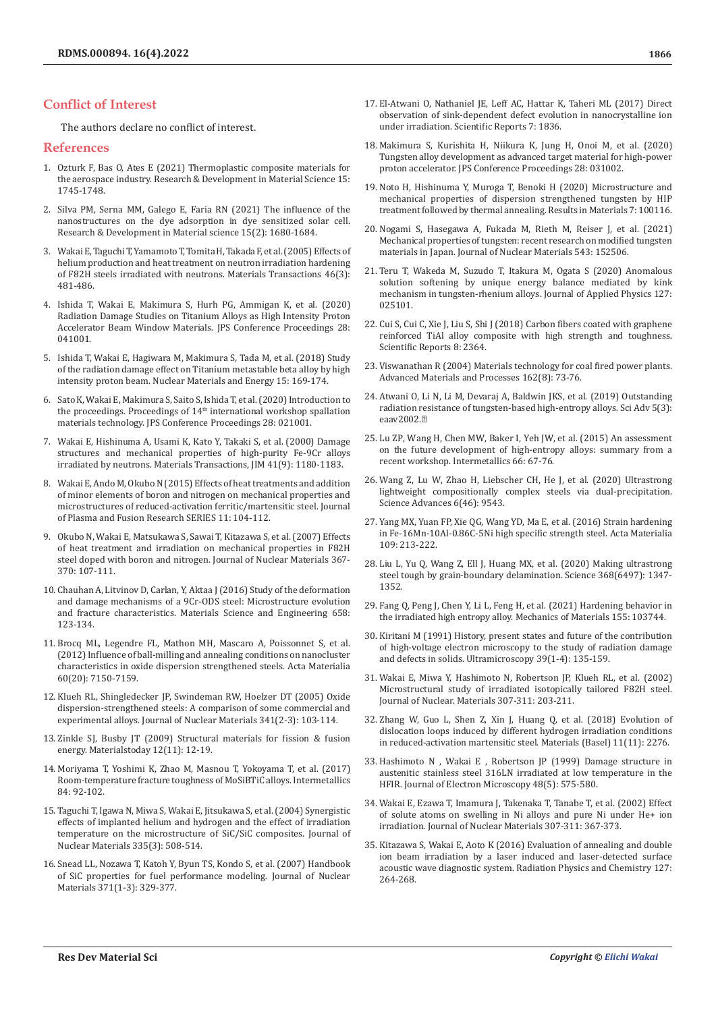### **Conflict of Interest**

The authors declare no conflict of interest.

#### **References**

- 1. [Ozturk F, Bas O, Ates E \(2021\) Thermoplastic composite materials for](https://www.scilit.net/article/b4ff547bac5a20ef892c8723c0a8a9b9)  [the aerospace industry. Research & Development in Material Science 15:](https://www.scilit.net/article/b4ff547bac5a20ef892c8723c0a8a9b9)  [1745-1748.](https://www.scilit.net/article/b4ff547bac5a20ef892c8723c0a8a9b9)
- 2. [Silva PM, Serna MM, Galego E, Faria RN \(2021\) The influence of the](https://crimsonpublishers.com/rdms/pdf/RDMS.000859.pdf)  [nanostructures on the dye adsorption in dye sensitized solar cell.](https://crimsonpublishers.com/rdms/pdf/RDMS.000859.pdf)  [Research & Development in Material science 15\(2\): 1680-1684.](https://crimsonpublishers.com/rdms/pdf/RDMS.000859.pdf)
- 3. [Wakai E, Taguchi T, Yamamoto T, Tomita H, Takada F, et al. \(2005\) Effects of](https://www.jstage.jst.go.jp/article/matertrans/46/3/46_3_481/_pdf/-char/en)  [helium production and heat treatment on neutron irradiation hardening](https://www.jstage.jst.go.jp/article/matertrans/46/3/46_3_481/_pdf/-char/en)  [of F82H steels irradiated with neutrons. Materials Transactions 46\(3\):](https://www.jstage.jst.go.jp/article/matertrans/46/3/46_3_481/_pdf/-char/en)  [481-486.](https://www.jstage.jst.go.jp/article/matertrans/46/3/46_3_481/_pdf/-char/en)
- 4. [Ishida T, Wakai E, Makimura S, Hurh PG, Ammigan K, et al. \(2020\)](https://journals.jps.jp/doi/abs/10.7566/JPSCP.28.041001)  [Radiation Damage Studies on Titanium Alloys as High Intensity Proton](https://journals.jps.jp/doi/abs/10.7566/JPSCP.28.041001)  [Accelerator Beam Window Materials. JPS Conference Proceedings 28:](https://journals.jps.jp/doi/abs/10.7566/JPSCP.28.041001)  [041001.](https://journals.jps.jp/doi/abs/10.7566/JPSCP.28.041001)
- 5. [Ishida T, Wakai E, Hagiwara M, Makimura S, Tada M, et al. \(2018\) Study](https://www.sciencedirect.com/science/article/pii/S2352179117300935)  [of the radiation damage effect on Titanium metastable beta alloy by high](https://www.sciencedirect.com/science/article/pii/S2352179117300935)  [intensity proton beam. Nuclear Materials and Energy 15: 169-174.](https://www.sciencedirect.com/science/article/pii/S2352179117300935)
- 6. [Sato K, Wakai E, Makimura S, Saito S, Ishida T, et al. \(2020\) Introduction to](https://journals.jps.jp/doi/pdf/10.7566/JPSCP.28.021001)  [the proceedings. Proceedings of 14th international workshop spallation](https://journals.jps.jp/doi/pdf/10.7566/JPSCP.28.021001)  [materials technology. JPS Conference Proceedings 28: 021001.](https://journals.jps.jp/doi/pdf/10.7566/JPSCP.28.021001)
- 7. [Wakai E, Hishinuma A, Usami K, Kato Y, Takaki S, et al. \(2000\) Damage](https://www.jstage.jst.go.jp/article/matertrans1989/41/9/41_9_1180/_article)  [structures and mechanical properties of high-purity Fe-9Cr alloys](https://www.jstage.jst.go.jp/article/matertrans1989/41/9/41_9_1180/_article)  [irradiated by neutrons. Materials Transactions, JIM 41\(9\): 1180-1183.](https://www.jstage.jst.go.jp/article/matertrans1989/41/9/41_9_1180/_article)
- 8. Wakai E, Ando M, Okubo N (2015) Effects of heat treatments and addition of minor elements of boron and nitrogen on mechanical properties and microstructures of reduced-activation ferritic/martensitic steel. Journal of Plasma and Fusion Research SERIES 11: 104-112.
- 9. [Okubo N, Wakai E, Matsukawa S, Sawai T, Kitazawa S, et al. \(2007\) Effects](https://www.sciencedirect.com/science/article/abs/pii/S0022311507003479?via%3Dihub)  [of heat treatment and irradiation on mechanical properties in F82H](https://www.sciencedirect.com/science/article/abs/pii/S0022311507003479?via%3Dihub)  [steel doped with boron and nitrogen. Journal of Nuclear Materials 367-](https://www.sciencedirect.com/science/article/abs/pii/S0022311507003479?via%3Dihub) [370: 107-111.](https://www.sciencedirect.com/science/article/abs/pii/S0022311507003479?via%3Dihub)
- 10. [Chauhan A, Litvinov D, Carlan, Y, Aktaa J \(2016\) Study of the deformation](https://www.sciencedirect.com/science/article/abs/pii/S0921509316301071)  [and damage mechanisms of a 9Cr-ODS steel: Microstructure evolution](https://www.sciencedirect.com/science/article/abs/pii/S0921509316301071)  [and fracture characteristics. Materials Science and Engineering 658:](https://www.sciencedirect.com/science/article/abs/pii/S0921509316301071)  [123-134.](https://www.sciencedirect.com/science/article/abs/pii/S0921509316301071)
- 11. [Brocq ML, Legendre FL, Mathon MH, Mascaro A, Poissonnet S, et al.](https://www.sciencedirect.com/science/article/abs/pii/S1359645412006477)  [\(2012\) Influence of ball-milling and annealing conditions on nanocluster](https://www.sciencedirect.com/science/article/abs/pii/S1359645412006477)  [characteristics in oxide dispersion strengthened steels. Acta Materialia](https://www.sciencedirect.com/science/article/abs/pii/S1359645412006477)  [60\(20\): 7150-7159.](https://www.sciencedirect.com/science/article/abs/pii/S1359645412006477)
- 12. [Klueh RL, Shingledecker JP, Swindeman RW, Hoelzer DT \(2005\) Oxide](https://www.sciencedirect.com/science/article/abs/pii/S0022311505000176)  [dispersion-strengthened steels: A comparison of some commercial and](https://www.sciencedirect.com/science/article/abs/pii/S0022311505000176)  [experimental alloys. Journal of Nuclear Materials 341\(2-3\): 103-114.](https://www.sciencedirect.com/science/article/abs/pii/S0022311505000176)
- 13. [Zinkle SJ, Busby JT \(2009\) Structural materials for fission & fusion](https://www.sciencedirect.com/science/article/pii/S1369702109702949)  [energy. Materialstoday 12\(11\): 12-19.](https://www.sciencedirect.com/science/article/pii/S1369702109702949)
- 14. Moriyama T, Yoshimi K, Zhao M, Masnou T, Yokoyama T, et al. (2017) Room-temperature fracture toughness of MoSiBTiC alloys. Intermetallics 84: 92-102.
- 15. Taguchi T, Igawa N, Miwa S, Wakai E, Jitsukawa S, et al. (2004) Synergistic effects of implanted helium and hydrogen and the effect of irradiation temperature on the microstructure of SiC/SiC composites. Journal of Nuclear Materials 335(3): 508-514.
- 16. Snead LL, Nozawa T, Katoh Y, Byun TS, Kondo S, et al. (2007) Handbook of SiC properties for fuel performance modeling. Journal of Nuclear Materials 371(1-3): 329-377.
- 17. [El-Atwani O, Nathaniel JE, Leff AC, Hattar K, Taheri ML \(2017\) Direct](https://www.nature.com/articles/s41598-017-01744-x) [observation of sink-dependent defect evolution in nanocrystalline ion](https://www.nature.com/articles/s41598-017-01744-x) [under irradiation. Scientific Reports 7: 1836.](https://www.nature.com/articles/s41598-017-01744-x)
- 18. [Makimura S, Kurishita H, Niikura K, Jung H, Onoi M, et al. \(2020\)](https://journals.jps.jp/doi/abs/10.7566/JPSCP.28.031002) [Tungsten alloy development as advanced target material for high-power](https://journals.jps.jp/doi/abs/10.7566/JPSCP.28.031002) [proton accelerator. JPS Conference Proceedings 28: 031002.](https://journals.jps.jp/doi/abs/10.7566/JPSCP.28.031002)
- 19. [Noto H, Hishinuma Y, Muroga T, Benoki H \(2020\) Microstructure and](https://www.sciencedirect.com/science/article/pii/S2590048X20300583) [mechanical properties of dispersion strengthened tungsten by HIP](https://www.sciencedirect.com/science/article/pii/S2590048X20300583) [treatment followed by thermal annealing. Results in Materials 7: 100116.](https://www.sciencedirect.com/science/article/pii/S2590048X20300583)
- 20. [Nogami S, Hasegawa A, Fukada M, Rieth M, Reiser J, et al. \(2021\)](https://www.sciencedirect.com/science/article/abs/pii/S0022311520311144) [Mechanical properties of tungsten: recent research on modified tungsten](https://www.sciencedirect.com/science/article/abs/pii/S0022311520311144) [materials in Japan. Journal of Nuclear Materials 543: 152506.](https://www.sciencedirect.com/science/article/abs/pii/S0022311520311144)
- 21. [Teru T, Wakeda M, Suzudo T, Itakura M, Ogata S \(2020\) Anomalous](https://aip.scitation.org/doi/10.1063/1.5131279) [solution softening by unique energy balance mediated by kink](https://aip.scitation.org/doi/10.1063/1.5131279) [mechanism in tungsten-rhenium alloys. Journal of Applied Physics 127:](https://aip.scitation.org/doi/10.1063/1.5131279) [025101.](https://aip.scitation.org/doi/10.1063/1.5131279)
- 22. [Cui S, Cui C, Xie J, Liu S, Shi J \(2018\) Carbon fibers coated with graphene](https://www.nature.com/articles/s41598-018-20799-y) [reinforced TiAl alloy composite with high strength and toughness.](https://www.nature.com/articles/s41598-018-20799-y) [Scientific Reports 8: 2364.](https://www.nature.com/articles/s41598-018-20799-y)
- 23. [Viswanathan R \(2004\) Materials technology for coal fired power plants.](https://www.osti.gov/etdeweb/biblio/20539663) [Advanced Materials and Processes 162\(8\): 73-76.](https://www.osti.gov/etdeweb/biblio/20539663)
- 24. [Atwani O, Li N, Li M, Devaraj A, Baldwin JKS, et al. \(2019\) Outstanding](https://pubmed.ncbi.nlm.nih.gov/30838329/) [radiation resistance of tungsten-based high-entropy alloys. Sci Adv 5\(3\):](https://pubmed.ncbi.nlm.nih.gov/30838329/) [eaav2002.](https://pubmed.ncbi.nlm.nih.gov/30838329/)<sub>2</sub>
- 25. [Lu ZP, Wang H, Chen MW, Baker I, Yeh JW, et al. \(2015\) An assessment](https://www.sciencedirect.com/science/article/abs/pii/S0966979515300248) [on the future development of high-entropy alloys: summary from a](https://www.sciencedirect.com/science/article/abs/pii/S0966979515300248) [recent workshop. Intermetallics 66: 67-76.](https://www.sciencedirect.com/science/article/abs/pii/S0966979515300248)
- 26. [Wang Z, Lu W, Zhao H, Liebscher CH, He J, et al. \(2020\) Ultrastrong](https://www.science.org/doi/10.1126/sciadv.aba9543) [lightweight compositionally complex steels via dual-precipitation.](https://www.science.org/doi/10.1126/sciadv.aba9543) [Science Advances 6\(46\): 9543.](https://www.science.org/doi/10.1126/sciadv.aba9543)
- 27. [Yang MX, Yuan FP, Xie QG, Wang YD, Ma E, et al. \(2016\) Strain hardening](https://ui.adsabs.harvard.edu/abs/2016AcMat.109..213Y/abstract) [in Fe-16Mn-10Al-0.86C-5Ni high specific strength steel. Acta Materialia](https://ui.adsabs.harvard.edu/abs/2016AcMat.109..213Y/abstract) [109: 213-222.](https://ui.adsabs.harvard.edu/abs/2016AcMat.109..213Y/abstract)
- 28. [Liu L, Yu Q, Wang Z, Ell J, Huang MX, et al. \(2020\) Making ultrastrong](https://pubmed.ncbi.nlm.nih.gov/32381592/) [steel tough by grain-boundary delamination. Science 368\(6497\): 1347-](https://pubmed.ncbi.nlm.nih.gov/32381592/) [1352.](https://pubmed.ncbi.nlm.nih.gov/32381592/)
- 29. [Fang Q, Peng J, Chen Y, Li L, Feng H, et al. \(2021\) Hardening behavior in](https://en.x-mol.com/paper/article/1346930141735047168) [the irradiated high entropy alloy. Mechanics of Materials 155: 103744.](https://en.x-mol.com/paper/article/1346930141735047168)
- 30. [Kiritani M \(1991\) History, present states and future of the contribution](https://www.sciencedirect.com/science/article/abs/pii/030439919190193A) [of high-voltage electron microscopy to the study of radiation damage](https://www.sciencedirect.com/science/article/abs/pii/030439919190193A) [and defects in solids. Ultramicroscopy 39\(1-4\): 135-159.](https://www.sciencedirect.com/science/article/abs/pii/030439919190193A)
- 31. [Wakai E, Miwa Y, Hashimoto N, Robertson JP, Klueh RL, et al. \(2002\)](https://www.infona.pl/resource/bwmeta1.element.elsevier-0b2eb8bb-0373-35b2-9a7d-797f52886f94) [Microstructural study of irradiated isotopically tailored F82H steel.](https://www.infona.pl/resource/bwmeta1.element.elsevier-0b2eb8bb-0373-35b2-9a7d-797f52886f94) [Journal of Nuclear. Materials 307-311: 203-211.](https://www.infona.pl/resource/bwmeta1.element.elsevier-0b2eb8bb-0373-35b2-9a7d-797f52886f94)
- 32. [Zhang W, Guo L, Shen Z, Xin J, Huang Q, et al. \(2018\) Evolution of](https://pubmed.ncbi.nlm.nih.gov/30441822/) [dislocation loops induced by different hydrogen irradiation conditions](https://pubmed.ncbi.nlm.nih.gov/30441822/) [in reduced-activation martensitic steel. Materials \(Basel\) 11\(11\): 2276.](https://pubmed.ncbi.nlm.nih.gov/30441822/)
- 33. [Hashimoto N , Wakai E , Robertson JP \(1999\) Damage structure in](https://academic.oup.com/jmicro/article-abstract/48/5/575/891566) [austenitic stainless steel 316LN irradiated at low temperature in the](https://academic.oup.com/jmicro/article-abstract/48/5/575/891566) [HFIR. Journal of Electron Microscopy 48\(5\): 575-580.](https://academic.oup.com/jmicro/article-abstract/48/5/575/891566)
- 34. [Wakai E, Ezawa T, Imamura J, Takenaka T, Tanabe T, et al. \(2002\) Effect](https://www.infona.pl/resource/bwmeta1.element.elsevier-04048da5-c4fd-380d-b356-65025e5b3150) [of solute atoms on swelling in Ni alloys and pure Ni under He+ ion](https://www.infona.pl/resource/bwmeta1.element.elsevier-04048da5-c4fd-380d-b356-65025e5b3150) [irradiation. Journal of Nuclear Materials 307-311: 367-373.](https://www.infona.pl/resource/bwmeta1.element.elsevier-04048da5-c4fd-380d-b356-65025e5b3150)
- 35. [Kitazawa S, Wakai E, Aoto K \(2016\) Evaluation of annealing and double](https://ui.adsabs.harvard.edu/abs/2016RaPC..127..264K/abstract) [ion beam irradiation by a laser induced and laser-detected surface](https://ui.adsabs.harvard.edu/abs/2016RaPC..127..264K/abstract) [acoustic wave diagnostic system. Radiation Physics and Chemistry 127:](https://ui.adsabs.harvard.edu/abs/2016RaPC..127..264K/abstract) [264-268.](https://ui.adsabs.harvard.edu/abs/2016RaPC..127..264K/abstract)